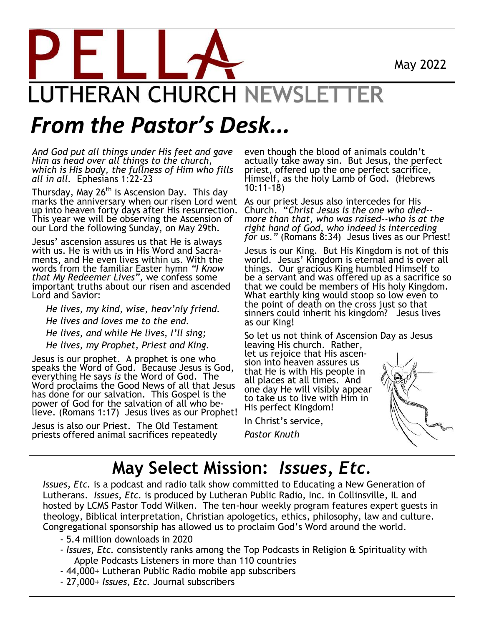May 2022

# **JTHERAN CHURCH NEWSLE**

## *From the Pastor's Desk...*

*And God put all things under His feet and gave Him as head over all things to the church, which is His body, the fullness of Him who fills all in all.*Ephesians 1:22-23

Thursday, May 26<sup>th</sup> is Ascension Day. This day marks the anniversary when our risen Lord went up into heaven forty days after His resurrection. This year we will be observing the Ascension of our Lord the following Sunday, on May 29th.

Jesus' ascension assures us that He is always with us. He is with us in His Word and Sacraments, and He even lives within us. With the words from the familiar Easter hymn *"I Know that My Redeemer Lives",* we confess some important truths about our risen and ascended Lord and Savior:

 *He lives, my kind, wise, heav'nly friend. He lives and loves me to the end. He lives, and while He lives, I'll sing; He lives, my Prophet, Priest and King.*

Jesus is our prophet. A prophet is one who speaks the Word of God. Because Jesus is God, everything He says *is* the Word of God. The Word proclaims the Good News of all that Jesus has done for our salvation. This Gospel is the power of God for the salvation of all who believe. (Romans 1:17) Jesus lives as our Prophet!

Jesus is also our Priest. The Old Testament priests offered animal sacrifices repeatedly

even though the blood of animals couldn't actually take away sin. But Jesus, the perfect priest, offered up the one perfect sacrifice, Himself, as the holy Lamb of God. (Hebrews 10:11-18)

As our priest Jesus also intercedes for His Church. "*Christ Jesus is the one who died- more than that, who was raised--who is at the right hand of God, who indeed is interceding for us.*" (Romans 8:34) Jesus lives as our Priest!

Jesus is our King. But His Kingdom is not of this world. Jesus' Kingdom is eternal and is over all things. Our gracious King humbled Himself to be a servant and was offered up as a sacrifice so that we could be members of His holy Kingdom. What earthly king would stoop so low even to the point of death on the cross just so that sinners could inherit his kingdom? Jesus lives as our King!

So let us not think of Ascension Day as Jesus leaving His church. Rather,

let us rejoice that His ascension into heaven assures us that He is with His people in all places at all times. And one day He will visibly appear to take us to live with Him in His perfect Kingdom!

In Christ's service, *Pastor Knuth*



## **May Select Mission:** *Issues, Etc.*

*Issues, Etc.* is a podcast and radio talk show committed to Educating a New Generation of Lutherans. *Issues, Etc.* is produced by Lutheran Public Radio, Inc. in Collinsville, IL and hosted by LCMS Pastor Todd Wilken. The ten-hour weekly program features expert guests in theology, Biblical interpretation, Christian apologetics, ethics, philosophy, law and culture. Congregational sponsorship has allowed us to proclaim God's Word around the world.

- 5.4 million downloads in 2020
- *Issues, Etc.* consistently ranks among the Top Podcasts in Religion & Spirituality with Apple Podcasts Listeners in more than 110 countries
- 44,000+ Lutheran Public Radio mobile app subscribers
- 27,000+ *Issues, Etc.* Journal subscribers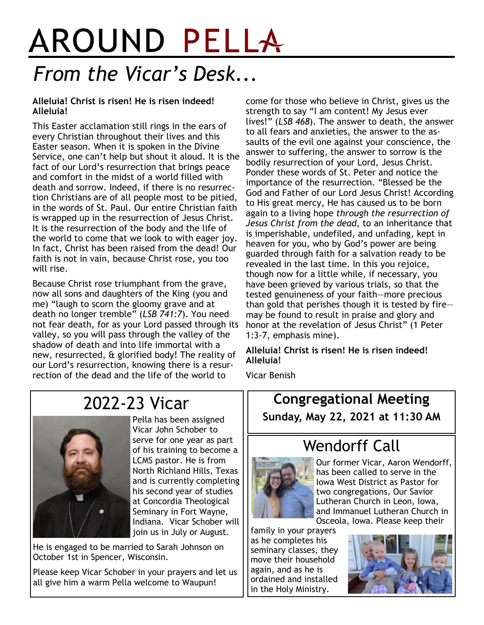## AROUND PELLA *From the Vicar's Desk...*

#### **Alleluia! Christ is risen! He is risen indeed! Alleluia!**

This Easter acclamation still rings in the ears of every Christian throughout their lives and this Easter season. When it is spoken in the Divine Service, one can't help but shout it aloud. It is the fact of our Lord's resurrection that brings peace and comfort in the midst of a world filled with death and sorrow. Indeed, if there is no resurrection Christians are of all people most to be pitied, in the words of St. Paul. Our entire Christian faith is wrapped up in the resurrection of Jesus Christ. It is the resurrection of the body and the life of the world to come that we look to with eager joy. In fact, Christ has been raised from the dead! Our faith is not in vain, because Christ rose, you too will rise.

Because Christ rose triumphant from the grave, now all sons and daughters of the King (you and me) "laugh to scorn the gloomy grave and at death no longer tremble" (*LSB 741:7*). You need not fear death, for as your Lord passed through its valley, so you will pass through the valley of the shadow of death and into life immortal with a new, resurrected, & glorified body! The reality of our Lord's resurrection, knowing there is a resurrection of the dead and the life of the world to

come for those who believe in Christ, gives us the strength to say "I am content! My Jesus ever lives!" (*LSB 468*). The answer to death, the answer to all fears and anxieties, the answer to the assaults of the evil one against your conscience, the answer to suffering, the answer to sorrow is the bodily resurrection of your Lord, Jesus Christ. Ponder these words of St. Peter and notice the importance of the resurrection. "Blessed be the God and Father of our Lord Jesus Christ! According to His great mercy, He has caused us to be born again to a living hope *through the resurrection of Jesus Christ from the dead*, to an inheritance that is imperishable, undefiled, and unfading, kept in heaven for you, who by God's power are being guarded through faith for a salvation ready to be revealed in the last time. In this you rejoice, though now for a little while, if necessary, you have been grieved by various trials, so that the tested genuineness of your faith—more precious than gold that perishes though it is tested by fire may be found to result in praise and glory and honor at the revelation of Jesus Christ" (1 Peter 1:3-7, emphasis mine).

#### **Alleluia! Christ is risen! He is risen indeed! Alleluia!**

Vicar Benish

## 2022-23 Vicar



Pella has been assigned Vicar John Schober to serve for one year as part of his training to become a LCMS pastor. He is from North Richland Hills, Texas and is currently completing his second year of studies at Concordia Theological Seminary in Fort Wayne, Indiana. Vicar Schober will join us in July or August.

He is engaged to be married to Sarah Johnson on October 1st in Spencer, Wisconsin.

Please keep Vicar Schober in your prayers and let us all give him a warm Pella welcome to Waupun!

**Congregational Meeting Sunday, May 22, 2021 at 11:30 AM**



Wendorff Call

Our former Vicar, Aaron Wendorff, has been called to serve in the Iowa West District as Pastor for two congregations, Our Savior Lutheran Church in Leon, Iowa, and Immanuel Lutheran Church in Osceola, Iowa. Please keep their

family in your prayers as he completes his seminary classes, they move their household again, and as he is ordained and installed in the Holy Ministry.

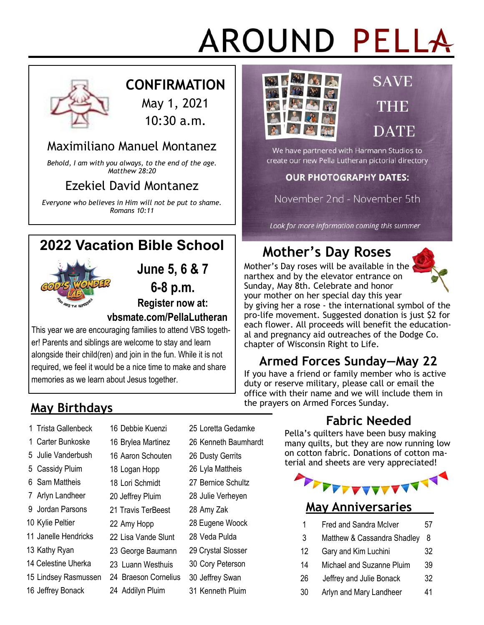## AROUND PELLA



#### **CONFIRMATION**

May 1, 2021 10:30 a.m.

#### Maximiliano Manuel Montanez

*Behold, I am with you always, to the end of the age. Matthew 28:20*

#### Ezekiel David Montanez

*Everyone who believes in Him will not be put to shame. Romans 10:11*



This year we are encouraging families to attend VBS together! Parents and siblings are welcome to stay and learn alongside their child(ren) and join in the fun. While it is not required, we feel it would be a nice time to make and share memories as we learn about Jesus together.

> Debbie Kuenzi Brylea Martinez Aaron Schouten Logan Hopp Lori Schmidt 20 Jeffrey Pluim

22 Amy Hopp

22 Lisa Vande Slunt 23 George Baumann 23 Luann Westhuis

24 Addilyn Pluim

## **May Birthdays**

- 1 Trista Gallenbeck
- 1 Carter Bunkoske
- 5 Julie Vanderbush
- 5 Cassidy Pluim
- 6 Sam Mattheis
- 7 Arlyn Landheer
- 9 Jordan Parsons
- 10 Kylie Peltier
- 11 Janelle Hendricks
- 13 Kathy Ryan
- 14 Celestine Uherka
- 15 Lindsey Rasmussen
- 16 Jeffrey Bonack
- 25 Loretta Gedamke
- 26 Kenneth Baumhardt
- 26 Dusty Gerrits
- 26 Lyla Mattheis
- 27 Bernice Schultz
- 28 Julie Verheyen
- 28 Amy Zak
- 28 Eugene Woock
- 28 Veda Pulda
- 29 Crystal Slosser
- 30 Cory Peterson
- - 31 Kenneth Pluim



## **SAVE** THE DATE

We have partnered with Harmann Studios to create our new Pella Lutheran pictorial directory

#### **OUR PHOTOGRAPHY DATES:**

November 2nd - November 5th

Look for more information coming this summer

## **Mother's Day Roses**

Mother's Day roses will be available in the narthex and by the elevator entrance on Sunday, May 8th. Celebrate and honor your mother on her special day this year



by giving her a rose - the international symbol of the pro-life movement. Suggested donation is just \$2 for each flower. All proceeds will benefit the educational and pregnancy aid outreaches of the Dodge Co. chapter of Wisconsin Right to Life.

## **Armed Forces Sunday—May 22**

If you have a friend or family member who is active duty or reserve military, please call or email the office with their name and we will include them in the prayers on Armed Forces Sunday.

## **Fabric Needed**

Pella's quilters have been busy making many quilts, but they are now running low on cotton fabric. Donations of cotton material and sheets are very appreciated!



#### **May Anniversaries**

- 1 Fred and Sandra McIver 57
- 3 Matthew & Cassandra Shadley 8
- 12 Gary and Kim Luchini 32
- 14 Michael and Suzanne Pluim 39
- 26 Jeffrey and Julie Bonack 32
- 30 Arlyn and Mary Landheer 41
- 21 Travis TerBeest
	-
	-
	-
	-
	-

#### 24 Braeson Cornelius 30 Jeffrey Swan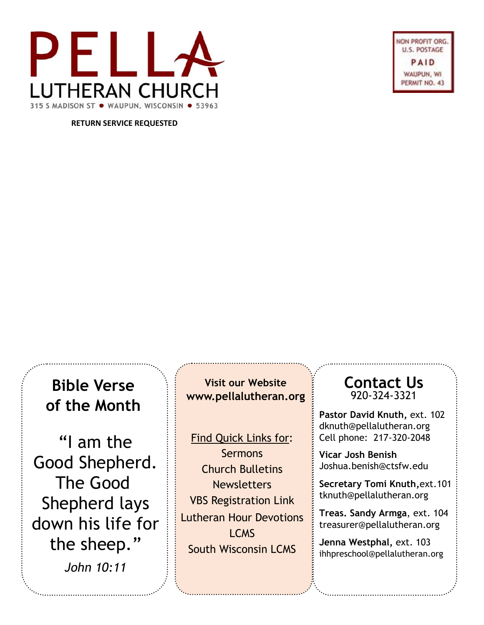

ON PROFIT ORG U.S. POSTAGE PAID WAUPUN, WI. PERMIT NO. 43

**RETURN SERVICE REQUESTED**

## **Bible Verse of the Month**

"I am the Good Shepherd. The Good Shepherd lays down his life for the sheep." *John 10:11*

**Visit our Website www.pellalutheran.org**

 $\overline{\overline{\cdot}}$ ind Ouick  $rac{ln \cos \theta}{2}$ **Sermons Church Bulletins**  $\frac{1}{\sqrt{1-\frac{1}{2}}}$ **Newsletters** Find Quick Links for: VBS Registration Link Lutheran Hour Devotions LCMS South Wisconsin LCMS

#### **Contact Us** 920-324-3321

**Pastor David Knuth,** ext. 102 dknuth@pellalutheran.org Cell phone: 217-320-2048

**Vicar Josh Benish** Joshua.benish@ctsfw.edu

**Secretary Tomi Knuth,**ext.101 tknuth@pellalutheran.org

**Treas. Sandy Armga**, ext. 104 treasurer@pellalutheran.org

**Jenna Westphal,** ext. 103 ihhpreschool@pellalutheran.org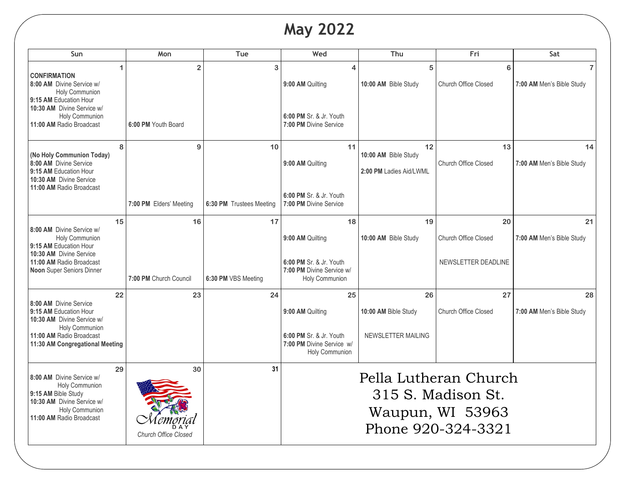## **May 2022**

| Sun                                                                                                                                                                           | Mon                               | Tue                      | Wed                                                                    | Thu                                                                                   | Fri                               | Sat                             |  |
|-------------------------------------------------------------------------------------------------------------------------------------------------------------------------------|-----------------------------------|--------------------------|------------------------------------------------------------------------|---------------------------------------------------------------------------------------|-----------------------------------|---------------------------------|--|
| 1<br><b>CONFIRMATION</b><br>8:00 AM Divine Service w/<br>Holy Communion<br>9:15 AM Education Hour<br>10:30 AM Divine Service w/<br>Holy Communion<br>11:00 AM Radio Broadcast | $\overline{2}$                    | 3                        | 9:00 AM Quilting                                                       | 5<br>10:00 AM Bible Study                                                             | 6<br><b>Church Office Closed</b>  | 7:00 AM Men's Bible Study       |  |
|                                                                                                                                                                               | 6:00 PM Youth Board               |                          | 6:00 PM Sr. & Jr. Youth<br>7:00 PM Divine Service                      |                                                                                       |                                   |                                 |  |
| 8<br>(No Holy Communion Today)<br>8:00 AM Divine Service<br>9:15 AM Education Hour<br>10:30 AM Divine Service<br>11:00 AM Radio Broadcast                                     | 9                                 | 10                       | 11<br>9:00 AM Quilting                                                 | 12<br>10:00 AM Bible Study<br>2:00 PM Ladies Aid/LWML                                 | 13<br><b>Church Office Closed</b> | 14<br>7:00 AM Men's Bible Study |  |
|                                                                                                                                                                               | 7:00 PM Elders' Meeting           | 6:30 PM Trustees Meeting | 6:00 PM Sr. & Jr. Youth<br>7:00 PM Divine Service                      |                                                                                       |                                   |                                 |  |
| 15<br>8:00 AM Divine Service w/<br>Holy Communion<br>9:15 AM Education Hour<br>10:30 AM Divine Service<br>11:00 AM Radio Broadcast<br>Noon Super Seniors Dinner               | 16                                | 17                       | 18<br>9:00 AM Quilting                                                 | 19<br>10:00 AM Bible Study                                                            | 20<br><b>Church Office Closed</b> | 21<br>7:00 AM Men's Bible Study |  |
|                                                                                                                                                                               | 7:00 PM Church Council            | 6:30 PM VBS Meeting      | 6:00 PM Sr. & Jr. Youth<br>7:00 PM Divine Service w/<br>Holy Communion |                                                                                       | NEWSLETTER DEADLINE               |                                 |  |
| 22                                                                                                                                                                            | 23                                | 24                       | 25                                                                     | 26                                                                                    | 27                                | 28                              |  |
| 8:00 AM Divine Service<br>9:15 AM Education Hour<br>10:30 AM Divine Service w/<br>Holy Communion<br>11:00 AM Radio Broadcast<br>11:30 AM Congregational Meeting               |                                   |                          | 9:00 AM Quilting                                                       | 10:00 AM Bible Study                                                                  | <b>Church Office Closed</b>       | 7:00 AM Men's Bible Study       |  |
|                                                                                                                                                                               |                                   |                          | 6:00 PM Sr. & Jr. Youth<br>7:00 PM Divine Service w/<br>Holy Communion | NEWSLETTER MAILING                                                                    |                                   |                                 |  |
| 29<br>8:00 AM Divine Service w/<br>Holy Communion<br>9:15 AM Bible Study<br>10:30 AM Divine Service w/<br>Holy Communion<br>11:00 AM Radio Broadcast                          | 30<br><b>Church Office Closed</b> | 31                       |                                                                        | Pella Lutheran Church<br>315 S. Madison St.<br>Waupun, WI 53963<br>Phone 920-324-3321 |                                   |                                 |  |